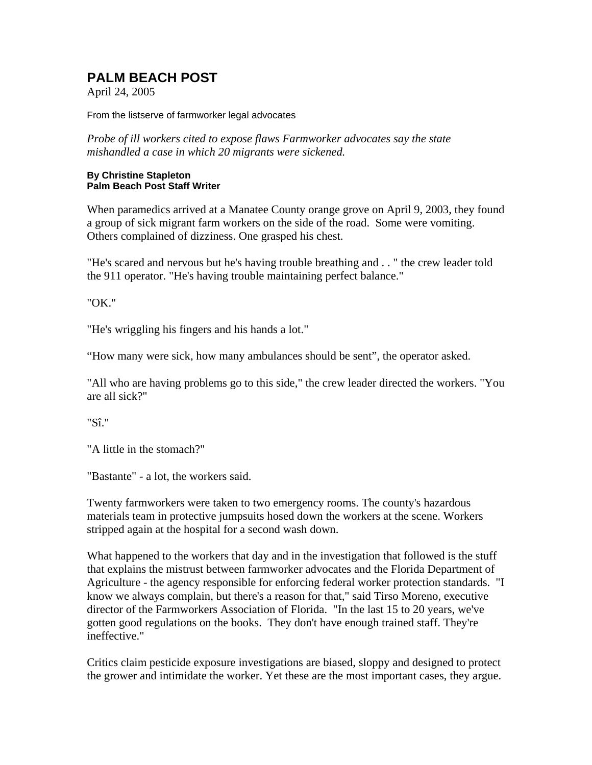# **PALM BEACH POST**

April 24, 2005

From the listserve of farmworker legal advocates

*Probe of ill workers cited to expose flaws Farmworker advocates say the state mishandled a case in which 20 migrants were sickened.* 

#### **By Christine Stapleton Palm Beach Post Staff Writer**

When paramedics arrived at a Manatee County orange grove on April 9, 2003, they found a group of sick migrant farm workers on the side of the road. Some were vomiting. Others complained of dizziness. One grasped his chest.

"He's scared and nervous but he's having trouble breathing and . . " the crew leader told the 911 operator. "He's having trouble maintaining perfect balance."

"OK."

"He's wriggling his fingers and his hands a lot."

"How many were sick, how many ambulances should be sent", the operator asked.

"All who are having problems go to this side," the crew leader directed the workers. "You are all sick?"

"Sî."

"A little in the stomach?"

"Bastante" - a lot, the workers said.

Twenty farmworkers were taken to two emergency rooms. The county's hazardous materials team in protective jumpsuits hosed down the workers at the scene. Workers stripped again at the hospital for a second wash down.

What happened to the workers that day and in the investigation that followed is the stuff that explains the mistrust between farmworker advocates and the Florida Department of Agriculture - the agency responsible for enforcing federal worker protection standards. "I know we always complain, but there's a reason for that," said Tirso Moreno, executive director of the Farmworkers Association of Florida. "In the last 15 to 20 years, we've gotten good regulations on the books. They don't have enough trained staff. They're ineffective."

Critics claim pesticide exposure investigations are biased, sloppy and designed to protect the grower and intimidate the worker. Yet these are the most important cases, they argue.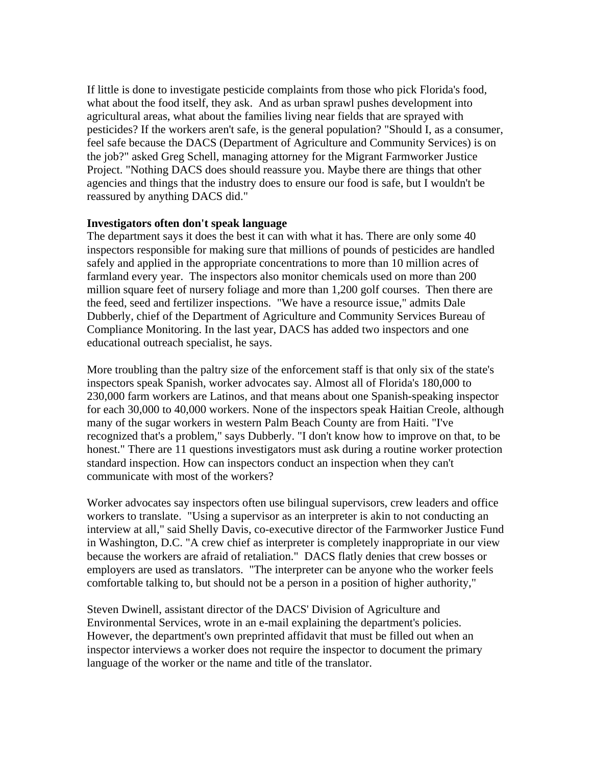If little is done to investigate pesticide complaints from those who pick Florida's food, what about the food itself, they ask. And as urban sprawl pushes development into agricultural areas, what about the families living near fields that are sprayed with pesticides? If the workers aren't safe, is the general population? "Should I, as a consumer, feel safe because the DACS (Department of Agriculture and Community Services) is on the job?" asked Greg Schell, managing attorney for the Migrant Farmworker Justice Project. "Nothing DACS does should reassure you. Maybe there are things that other agencies and things that the industry does to ensure our food is safe, but I wouldn't be reassured by anything DACS did."

## **Investigators often don't speak language**

The department says it does the best it can with what it has. There are only some 40 inspectors responsible for making sure that millions of pounds of pesticides are handled safely and applied in the appropriate concentrations to more than 10 million acres of farmland every year. The inspectors also monitor chemicals used on more than 200 million square feet of nursery foliage and more than 1,200 golf courses. Then there are the feed, seed and fertilizer inspections. "We have a resource issue," admits Dale Dubberly, chief of the Department of Agriculture and Community Services Bureau of Compliance Monitoring. In the last year, DACS has added two inspectors and one educational outreach specialist, he says.

More troubling than the paltry size of the enforcement staff is that only six of the state's inspectors speak Spanish, worker advocates say. Almost all of Florida's 180,000 to 230,000 farm workers are Latinos, and that means about one Spanish-speaking inspector for each 30,000 to 40,000 workers. None of the inspectors speak Haitian Creole, although many of the sugar workers in western Palm Beach County are from Haiti. "I've recognized that's a problem," says Dubberly. "I don't know how to improve on that, to be honest." There are 11 questions investigators must ask during a routine worker protection standard inspection. How can inspectors conduct an inspection when they can't communicate with most of the workers?

Worker advocates say inspectors often use bilingual supervisors, crew leaders and office workers to translate. "Using a supervisor as an interpreter is akin to not conducting an interview at all," said Shelly Davis, co-executive director of the Farmworker Justice Fund in Washington, D.C. "A crew chief as interpreter is completely inappropriate in our view because the workers are afraid of retaliation." DACS flatly denies that crew bosses or employers are used as translators. "The interpreter can be anyone who the worker feels comfortable talking to, but should not be a person in a position of higher authority,"

Steven Dwinell, assistant director of the DACS' Division of Agriculture and Environmental Services, wrote in an e-mail explaining the department's policies. However, the department's own preprinted affidavit that must be filled out when an inspector interviews a worker does not require the inspector to document the primary language of the worker or the name and title of the translator.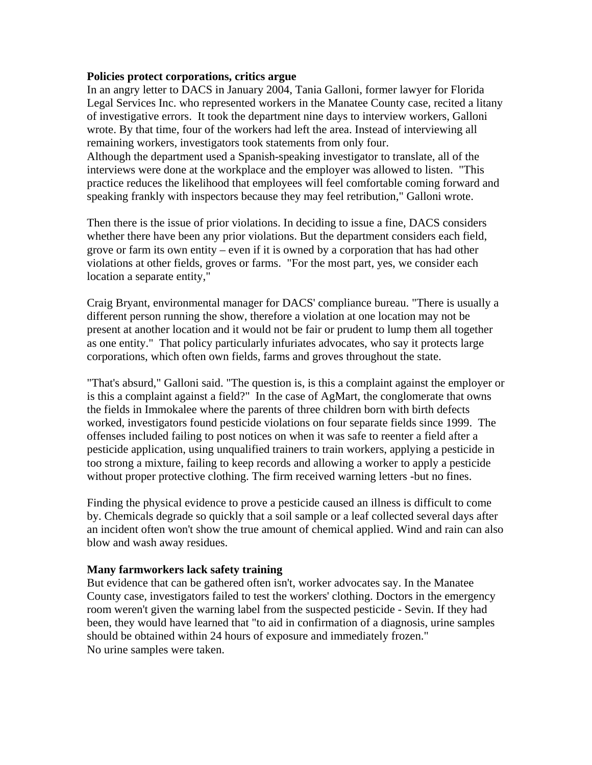#### **Policies protect corporations, critics argue**

In an angry letter to DACS in January 2004, Tania Galloni, former lawyer for Florida Legal Services Inc. who represented workers in the Manatee County case, recited a litany of investigative errors. It took the department nine days to interview workers, Galloni wrote. By that time, four of the workers had left the area. Instead of interviewing all remaining workers, investigators took statements from only four.

Although the department used a Spanish-speaking investigator to translate, all of the interviews were done at the workplace and the employer was allowed to listen. "This practice reduces the likelihood that employees will feel comfortable coming forward and speaking frankly with inspectors because they may feel retribution," Galloni wrote.

Then there is the issue of prior violations. In deciding to issue a fine, DACS considers whether there have been any prior violations. But the department considers each field, grove or farm its own entity – even if it is owned by a corporation that has had other violations at other fields, groves or farms. "For the most part, yes, we consider each location a separate entity,"

Craig Bryant, environmental manager for DACS' compliance bureau. "There is usually a different person running the show, therefore a violation at one location may not be present at another location and it would not be fair or prudent to lump them all together as one entity." That policy particularly infuriates advocates, who say it protects large corporations, which often own fields, farms and groves throughout the state.

"That's absurd," Galloni said. "The question is, is this a complaint against the employer or is this a complaint against a field?" In the case of AgMart, the conglomerate that owns the fields in Immokalee where the parents of three children born with birth defects worked, investigators found pesticide violations on four separate fields since 1999. The offenses included failing to post notices on when it was safe to reenter a field after a pesticide application, using unqualified trainers to train workers, applying a pesticide in too strong a mixture, failing to keep records and allowing a worker to apply a pesticide without proper protective clothing. The firm received warning letters -but no fines.

Finding the physical evidence to prove a pesticide caused an illness is difficult to come by. Chemicals degrade so quickly that a soil sample or a leaf collected several days after an incident often won't show the true amount of chemical applied. Wind and rain can also blow and wash away residues.

## **Many farmworkers lack safety training**

But evidence that can be gathered often isn't, worker advocates say. In the Manatee County case, investigators failed to test the workers' clothing. Doctors in the emergency room weren't given the warning label from the suspected pesticide - Sevin. If they had been, they would have learned that "to aid in confirmation of a diagnosis, urine samples should be obtained within 24 hours of exposure and immediately frozen." No urine samples were taken.